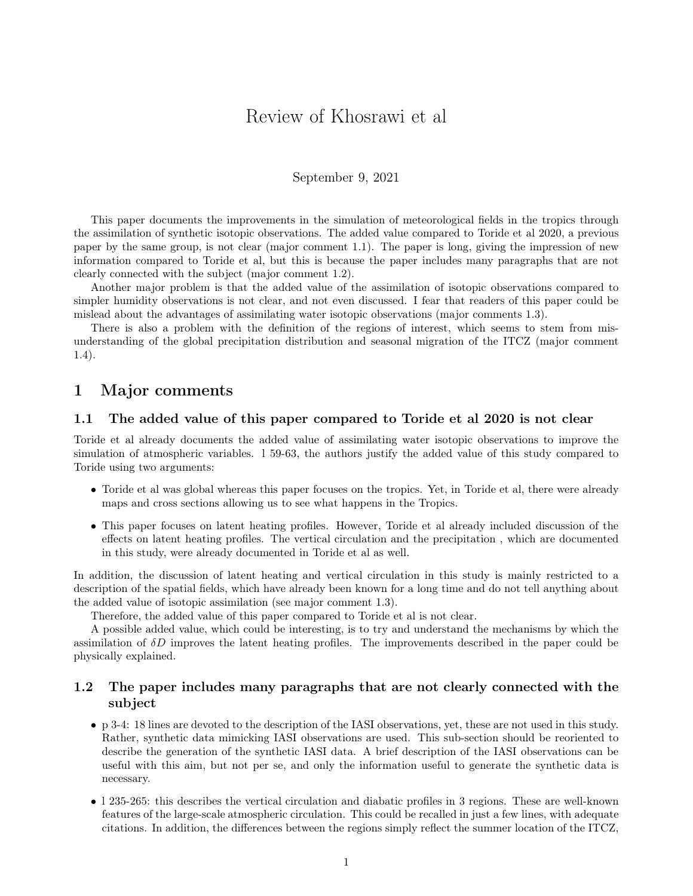# Review of Khosrawi et al

#### September 9, 2021

This paper documents the improvements in the simulation of meteorological fields in the tropics through the assimilation of synthetic isotopic observations. The added value compared to Toride et al 2020, a previous paper by the same group, is not clear (major comment 1.1). The paper is long, giving the impression of new information compared to Toride et al, but this is because the paper includes many paragraphs that are not clearly connected with the subject (major comment 1.2).

Another major problem is that the added value of the assimilation of isotopic observations compared to simpler humidity observations is not clear, and not even discussed. I fear that readers of this paper could be mislead about the advantages of assimilating water isotopic observations (major comments 1.3).

There is also a problem with the definition of the regions of interest, which seems to stem from misunderstanding of the global precipitation distribution and seasonal migration of the ITCZ (major comment 1.4).

### 1 Major comments

#### 1.1 The added value of this paper compared to Toride et al 2020 is not clear

Toride et al already documents the added value of assimilating water isotopic observations to improve the simulation of atmospheric variables. l 59-63, the authors justify the added value of this study compared to Toride using two arguments:

- Toride et al was global whereas this paper focuses on the tropics. Yet, in Toride et al, there were already maps and cross sections allowing us to see what happens in the Tropics.
- This paper focuses on latent heating profiles. However, Toride et al already included discussion of the effects on latent heating profiles. The vertical circulation and the precipitation , which are documented in this study, were already documented in Toride et al as well.

In addition, the discussion of latent heating and vertical circulation in this study is mainly restricted to a description of the spatial fields, which have already been known for a long time and do not tell anything about the added value of isotopic assimilation (see major comment 1.3).

Therefore, the added value of this paper compared to Toride et al is not clear.

A possible added value, which could be interesting, is to try and understand the mechanisms by which the assimilation of  $\delta D$  improves the latent heating profiles. The improvements described in the paper could be physically explained.

### 1.2 The paper includes many paragraphs that are not clearly connected with the subject

- p 3-4: 18 lines are devoted to the description of the IASI observations, yet, these are not used in this study. Rather, synthetic data mimicking IASI observations are used. This sub-section should be reoriented to describe the generation of the synthetic IASI data. A brief description of the IASI observations can be useful with this aim, but not per se, and only the information useful to generate the synthetic data is necessary.
- l 235-265: this describes the vertical circulation and diabatic profiles in 3 regions. These are well-known features of the large-scale atmospheric circulation. This could be recalled in just a few lines, with adequate citations. In addition, the differences between the regions simply reflect the summer location of the ITCZ,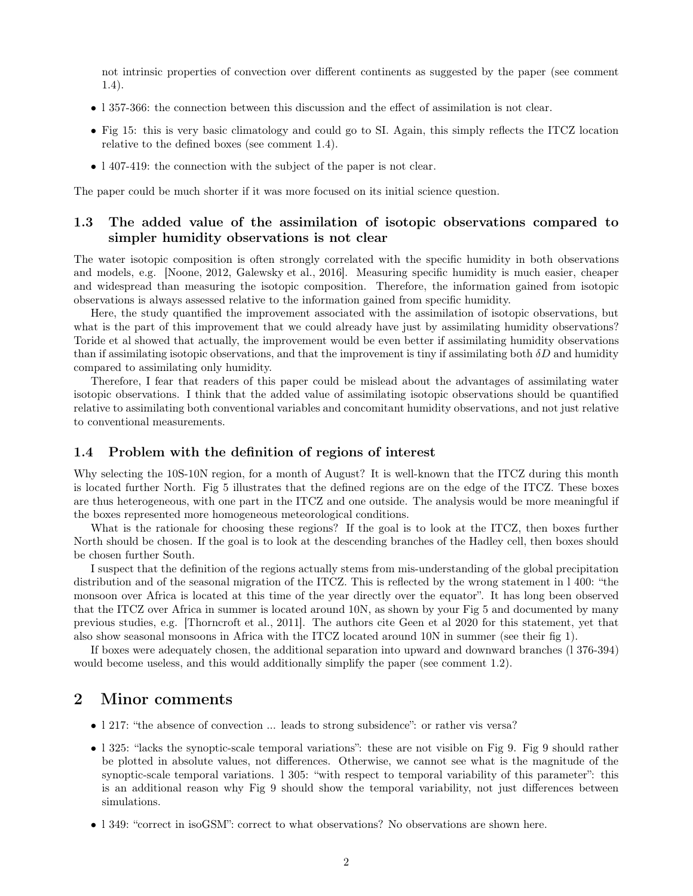not intrinsic properties of convection over different continents as suggested by the paper (see comment 1.4).

- l 357-366: the connection between this discussion and the effect of assimilation is not clear.
- Fig 15: this is very basic climatology and could go to SI. Again, this simply reflects the ITCZ location relative to the defined boxes (see comment 1.4).
- l 407-419: the connection with the subject of the paper is not clear.

The paper could be much shorter if it was more focused on its initial science question.

### 1.3 The added value of the assimilation of isotopic observations compared to simpler humidity observations is not clear

The water isotopic composition is often strongly correlated with the specific humidity in both observations and models, e.g. [Noone, 2012, Galewsky et al., 2016]. Measuring specific humidity is much easier, cheaper and widespread than measuring the isotopic composition. Therefore, the information gained from isotopic observations is always assessed relative to the information gained from specific humidity.

Here, the study quantified the improvement associated with the assimilation of isotopic observations, but what is the part of this improvement that we could already have just by assimilating humidity observations? Toride et al showed that actually, the improvement would be even better if assimilating humidity observations than if assimilating isotopic observations, and that the improvement is tiny if assimilating both  $\delta D$  and humidity compared to assimilating only humidity.

Therefore, I fear that readers of this paper could be mislead about the advantages of assimilating water isotopic observations. I think that the added value of assimilating isotopic observations should be quantified relative to assimilating both conventional variables and concomitant humidity observations, and not just relative to conventional measurements.

#### 1.4 Problem with the definition of regions of interest

Why selecting the 10S-10N region, for a month of August? It is well-known that the ITCZ during this month is located further North. Fig 5 illustrates that the defined regions are on the edge of the ITCZ. These boxes are thus heterogeneous, with one part in the ITCZ and one outside. The analysis would be more meaningful if the boxes represented more homogeneous meteorological conditions.

What is the rationale for choosing these regions? If the goal is to look at the ITCZ, then boxes further North should be chosen. If the goal is to look at the descending branches of the Hadley cell, then boxes should be chosen further South.

I suspect that the definition of the regions actually stems from mis-understanding of the global precipitation distribution and of the seasonal migration of the ITCZ. This is reflected by the wrong statement in l 400: "the monsoon over Africa is located at this time of the year directly over the equator". It has long been observed that the ITCZ over Africa in summer is located around 10N, as shown by your Fig 5 and documented by many previous studies, e.g. [Thorncroft et al., 2011]. The authors cite Geen et al 2020 for this statement, yet that also show seasonal monsoons in Africa with the ITCZ located around 10N in summer (see their fig 1).

If boxes were adequately chosen, the additional separation into upward and downward branches (l 376-394) would become useless, and this would additionally simplify the paper (see comment 1.2).

## 2 Minor comments

- 1 217: "the absence of convection ... leads to strong subsidence": or rather vis versa?
- l 325: "lacks the synoptic-scale temporal variations": these are not visible on Fig 9. Fig 9 should rather be plotted in absolute values, not differences. Otherwise, we cannot see what is the magnitude of the synoptic-scale temporal variations. l 305: "with respect to temporal variability of this parameter": this is an additional reason why Fig 9 should show the temporal variability, not just differences between simulations.
- l 349: "correct in isoGSM": correct to what observations? No observations are shown here.